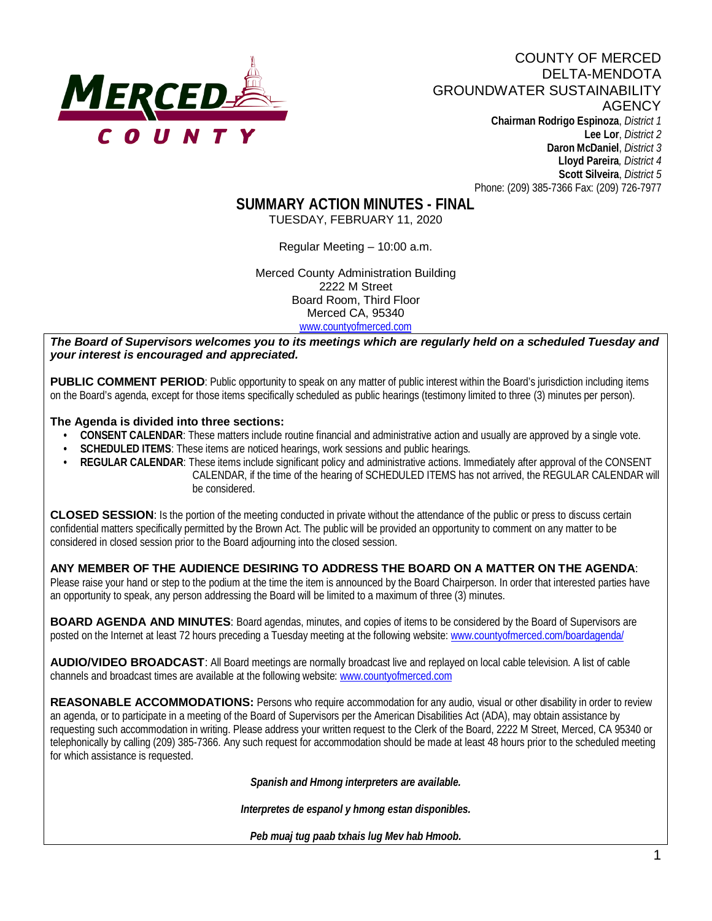

Phone: (209) 385-7366 Fax: (209) 726-7977

**SUMMARY ACTION MINUTES - FINAL**

TUESDAY, FEBRUARY 11, 2020

Regular Meeting – 10:00 a.m.

Merced County Administration Building 2222 M Street Board Room, Third Floor Merced CA, 95340 www.countyofmerced.com

*The Board of Supervisors welcomes you to its meetings which are regularly held on a scheduled Tuesday and your interest is encouraged and appreciated.*

**PUBLIC COMMENT PERIOD:** Public opportunity to speak on any matter of public interest within the Board's jurisdiction including items on the Board's agenda, except for those items specifically scheduled as public hearings (testimony limited to three (3) minutes per person).

#### **The Agenda is divided into three sections:**

- **CONSENT CALENDAR**: These matters include routine financial and administrative action and usually are approved by a single vote.
- **SCHEDULED ITEMS:** These items are noticed hearings, work sessions and public hearings.
- **REGULAR CALENDAR:** These items include significant policy and administrative actions. Immediately after approval of the CONSENT CALENDAR, if the time of the hearing of SCHEDULED ITEMS has not arrived, the REGULAR CALENDAR will be considered.

**CLOSED SESSION**: Is the portion of the meeting conducted in private without the attendance of the public or press to discuss certain confidential matters specifically permitted by the Brown Act. The public will be provided an opportunity to comment on any matter to be considered in closed session prior to the Board adjourning into the closed session.

### **ANY MEMBER OF THE AUDIENCE DESIRING TO ADDRESS THE BOARD ON A MATTER ON THE AGENDA**:

Please raise your hand or step to the podium at the time the item is announced by the Board Chairperson. In order that interested parties have an opportunity to speak, any person addressing the Board will be limited to a maximum of three (3) minutes.

**BOARD AGENDA AND MINUTES:** Board agendas, minutes, and copies of items to be considered by the Board of Supervisors are posted on the Internet at least 72 hours preceding a Tuesday meeting at the following website: [www.countyofmerced.com/boardagenda/](http://www.countyofmerced.com/boardagenda/) 

**AUDIO/VIDEO BROADCAST**: All Board meetings are normally broadcast live and replayed on local cable television. A list of cable channels and broadcast times are available at the following website[: www.countyofmerced.com](http://www.countyofmerced.com/)

**REASONABLE ACCOMMODATIONS:** Persons who require accommodation for any audio, visual or other disability in order to review an agenda, or to participate in a meeting of the Board of Supervisors per the American Disabilities Act (ADA), may obtain assistance by requesting such accommodation in writing. Please address your written request to the Clerk of the Board, 2222 M Street, Merced, CA 95340 or telephonically by calling (209) 385-7366. Any such request for accommodation should be made at least 48 hours prior to the scheduled meeting for which assistance is requested.

*Spanish and Hmong interpreters are available.*

*Interpretes de espanol y hmong estan disponibles.*

*Peb muaj tug paab txhais lug Mev hab Hmoob.*